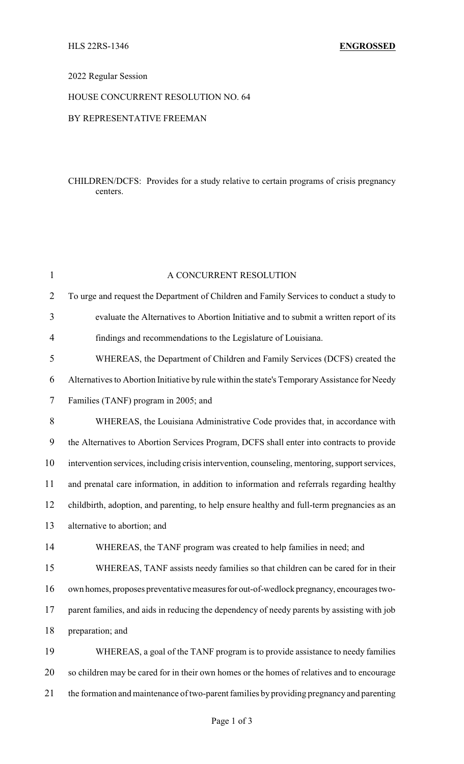## 2022 Regular Session

# HOUSE CONCURRENT RESOLUTION NO. 64

#### BY REPRESENTATIVE FREEMAN

## CHILDREN/DCFS: Provides for a study relative to certain programs of crisis pregnancy centers.

| $\mathbf{1}$   | A CONCURRENT RESOLUTION                                                                        |
|----------------|------------------------------------------------------------------------------------------------|
| $\overline{2}$ | To urge and request the Department of Children and Family Services to conduct a study to       |
| 3              | evaluate the Alternatives to Abortion Initiative and to submit a written report of its         |
| $\overline{4}$ | findings and recommendations to the Legislature of Louisiana.                                  |
| 5              | WHEREAS, the Department of Children and Family Services (DCFS) created the                     |
| 6              | Alternatives to Abortion Initiative by rule within the state's Temporary Assistance for Needy  |
| 7              | Families (TANF) program in 2005; and                                                           |
| 8              | WHEREAS, the Louisiana Administrative Code provides that, in accordance with                   |
| 9              | the Alternatives to Abortion Services Program, DCFS shall enter into contracts to provide      |
| 10             | intervention services, including crisis intervention, counseling, mentoring, support services, |
| 11             | and prenatal care information, in addition to information and referrals regarding healthy      |
| 12             | childbirth, adoption, and parenting, to help ensure healthy and full-term pregnancies as an    |
| 13             | alternative to abortion; and                                                                   |
| 14             | WHEREAS, the TANF program was created to help families in need; and                            |
| 15             | WHEREAS, TANF assists needy families so that children can be cared for in their                |
| 16             | own homes, proposes preventative measures for out-of-wedlock pregnancy, encourages two-        |
| 17             | parent families, and aids in reducing the dependency of needy parents by assisting with job    |
| 18             | preparation; and                                                                               |
| 19             | WHEREAS, a goal of the TANF program is to provide assistance to needy families                 |
| 20             | so children may be cared for in their own homes or the homes of relatives and to encourage     |
| 21             | the formation and maintenance of two-parent families by providing pregnancy and parenting      |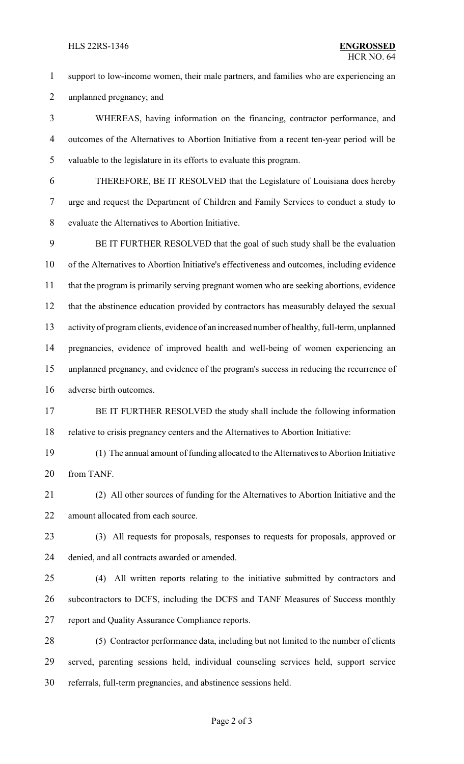#### HLS 22RS-1346 **ENGROSSED**

 support to low-income women, their male partners, and families who are experiencing an unplanned pregnancy; and

 WHEREAS, having information on the financing, contractor performance, and outcomes of the Alternatives to Abortion Initiative from a recent ten-year period will be valuable to the legislature in its efforts to evaluate this program.

 THEREFORE, BE IT RESOLVED that the Legislature of Louisiana does hereby urge and request the Department of Children and Family Services to conduct a study to evaluate the Alternatives to Abortion Initiative.

 BE IT FURTHER RESOLVED that the goal of such study shall be the evaluation of the Alternatives to Abortion Initiative's effectiveness and outcomes, including evidence that the program is primarily serving pregnant women who are seeking abortions, evidence that the abstinence education provided by contractors has measurably delayed the sexual activity of program clients, evidence of an increased number of healthy, full-term, unplanned pregnancies, evidence of improved health and well-being of women experiencing an unplanned pregnancy, and evidence of the program's success in reducing the recurrence of adverse birth outcomes.

17 BE IT FURTHER RESOLVED the study shall include the following information relative to crisis pregnancy centers and the Alternatives to Abortion Initiative:

 (1) The annual amount of funding allocated to the Alternatives to Abortion Initiative from TANF.

 (2) All other sources of funding for the Alternatives to Abortion Initiative and the 22 amount allocated from each source.

 (3) All requests for proposals, responses to requests for proposals, approved or denied, and all contracts awarded or amended.

 (4) All written reports relating to the initiative submitted by contractors and subcontractors to DCFS, including the DCFS and TANF Measures of Success monthly report and Quality Assurance Compliance reports.

 (5) Contractor performance data, including but not limited to the number of clients served, parenting sessions held, individual counseling services held, support service referrals, full-term pregnancies, and abstinence sessions held.